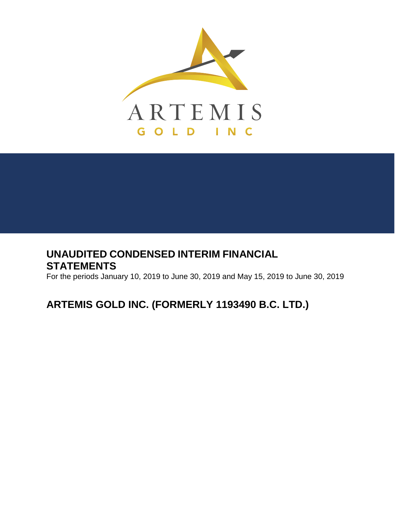

## **UNAUDITED CONDENSED INTERIM FINANCIAL STATEMENTS**

For the periods January 10, 2019 to June 30, 2019 and May 15, 2019 to June 30, 2019

# **ARTEMIS GOLD INC. (FORMERLY 1193490 B.C. LTD.)**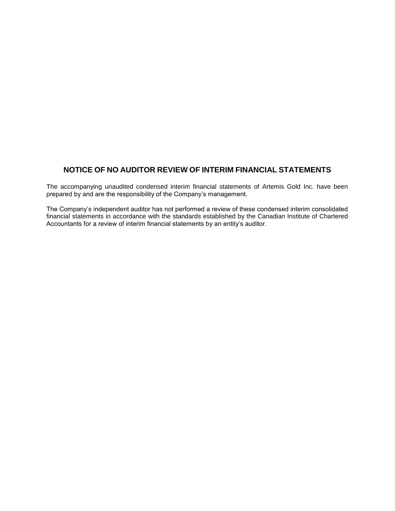## **NOTICE OF NO AUDITOR REVIEW OF INTERIM FINANCIAL STATEMENTS**

The accompanying unaudited condensed interim financial statements of Artemis Gold Inc. have been prepared by and are the responsibility of the Company's management.

The Company's independent auditor has not performed a review of these condensed interim consolidated financial statements in accordance with the standards established by the Canadian Institute of Chartered Accountants for a review of interim financial statements by an entity's auditor.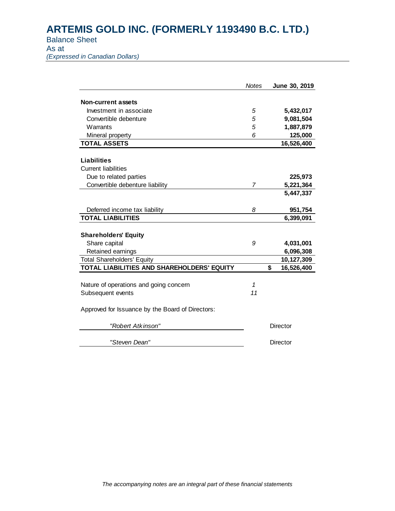Balance Sheet

As at

*(Expressed in Canadian Dollars)*

|                                                  | <b>Notes</b> | June 30, 2019    |
|--------------------------------------------------|--------------|------------------|
| <b>Non-current assets</b>                        |              |                  |
|                                                  |              |                  |
| Investment in associate                          | 5            | 5,432,017        |
| Convertible debenture                            | 5            | 9,081,504        |
| Warrants                                         | 5            | 1,887,879        |
| Mineral property                                 | 6            | 125,000          |
| <b>TOTAL ASSETS</b>                              |              | 16,526,400       |
| <b>Liabilities</b>                               |              |                  |
| <b>Current liabilities</b>                       |              |                  |
| Due to related parties                           |              | 225,973          |
| Convertible debenture liability                  | 7            | 5,221,364        |
|                                                  |              | 5,447,337        |
|                                                  |              |                  |
| Deferred income tax liability                    | 8            | 951,754          |
| <b>TOTAL LIABILITIES</b>                         |              | 6,399,091        |
|                                                  |              |                  |
| <b>Shareholders' Equity</b>                      |              |                  |
| Share capital                                    | 9            | 4,031,001        |
| Retained earnings                                |              | 6,096,308        |
| <b>Total Shareholders' Equity</b>                |              | 10,127,309       |
| TOTAL LIABILITIES AND SHAREHOLDERS' EQUITY       |              | \$<br>16,526,400 |
|                                                  |              |                  |
| Nature of operations and going concern           | 1            |                  |
| Subsequent events                                | 11           |                  |
|                                                  |              |                  |
| Approved for Issuance by the Board of Directors: |              |                  |
| "Robert Atkinson"                                |              | Director         |
| "Steven Dean"                                    |              | Director         |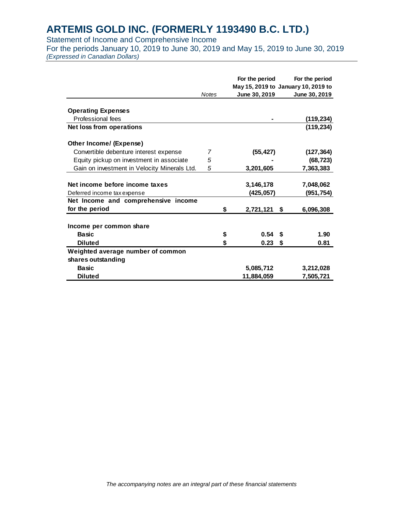Statement of Income and Comprehensive Income

For the periods January 10, 2019 to June 30, 2019 and May 15, 2019 to June 30, 2019 *(Expressed in Canadian Dollars)*

|                                              | <b>Notes</b> | For the period<br>June 30, 2019 | For the period<br>May 15, 2019 to January 10, 2019 to<br>June 30, 2019 |
|----------------------------------------------|--------------|---------------------------------|------------------------------------------------------------------------|
|                                              |              |                                 |                                                                        |
| <b>Operating Expenses</b>                    |              |                                 |                                                                        |
| Professional fees                            |              |                                 | (119,234)                                                              |
| <b>Net loss from operations</b>              |              |                                 | (119, 234)                                                             |
| Other Income/ (Expense)                      |              |                                 |                                                                        |
| Convertible debenture interest expense       | 7            | (55, 427)                       | (127, 364)                                                             |
| Equity pickup on investment in associate     | 5            |                                 | (68, 723)                                                              |
| Gain on investment in Velocity Minerals Ltd. | 5            | 3,201,605                       | 7,363,383                                                              |
| Net income before income taxes               |              | 3,146,178                       | 7,048,062                                                              |
| Deferred income tax expense                  |              | (425, 057)                      | (951, 754)                                                             |
| Net Income and comprehensive income          |              |                                 |                                                                        |
| for the period                               |              | \$<br>2,721,121                 | 6,096,308<br>\$                                                        |
| Income per common share                      |              |                                 |                                                                        |
| <b>Basic</b>                                 |              | \$<br>0.54                      | 1.90<br>\$                                                             |
| <b>Diluted</b>                               |              | \$<br>0.23                      | 0.81<br>\$                                                             |
| Weighted average number of common            |              |                                 |                                                                        |
| shares outstanding                           |              |                                 |                                                                        |
| <b>Basic</b>                                 |              | 5,085,712                       | 3,212,028                                                              |
| <b>Diluted</b>                               |              | 11,884,059                      | 7,505,721                                                              |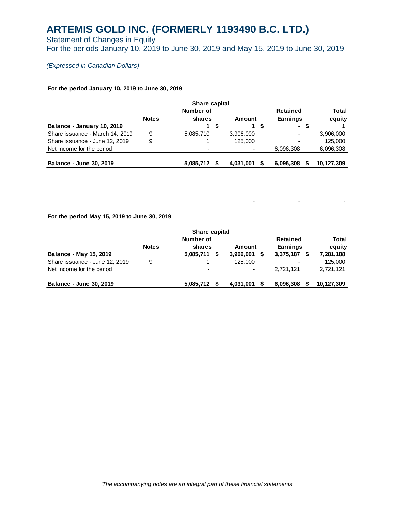Statement of Changes in Equity For the periods January 10, 2019 to June 30, 2019 and May 15, 2019 to June 30, 2019

### *(Expressed in Canadian Dollars)*

#### **For the period January 10, 2019 to June 30, 2019**

|                                 |              | Share capital |    |           |                          |    |            |
|---------------------------------|--------------|---------------|----|-----------|--------------------------|----|------------|
|                                 |              | Number of     |    |           | Retained                 |    | Total      |
|                                 | <b>Notes</b> | shares        |    | Amount    | <b>Earnings</b>          |    | equity     |
| Balance - January 10, 2019      |              |               | 15 | 1         | $\blacksquare$           | S. |            |
| Share issuance - March 14, 2019 | 9            | 5,085,710     |    | 3,906,000 | $\overline{\phantom{a}}$ |    | 3,906,000  |
| Share issuance - June 12, 2019  | 9            |               |    | 125,000   | $\overline{\phantom{a}}$ |    | 125.000    |
| Net income for the period       |              |               |    |           | 6.096.308                |    | 6,096,308  |
| <b>Balance - June 30, 2019</b>  |              | 5,085,712     |    | 4,031,001 | 6,096,308                |    | 10,127,309 |

#### **For the period May 15, 2019 to June 30, 2019**

|                                |              | Share capital     |                          |  |           |            |
|--------------------------------|--------------|-------------------|--------------------------|--|-----------|------------|
|                                |              | Number of         |                          |  | Retained  | Total      |
|                                | <b>Notes</b> | shares            | Amount                   |  | Earnings  | equity     |
| <b>Balance - May 15, 2019</b>  |              | 5,085,711<br>- \$ | 3,906,001                |  | 3,375,187 | 7,281,188  |
| Share issuance - June 12, 2019 | 9            |                   | 125,000                  |  | ٠         | 125,000    |
| Net income for the period      |              |                   | $\overline{\phantom{0}}$ |  | 2.721.121 | 2,721,121  |
| Balance - June 30, 2019        |              | 5.085.712         | 4,031,001                |  | 6,096,308 | 10,127,309 |

- - -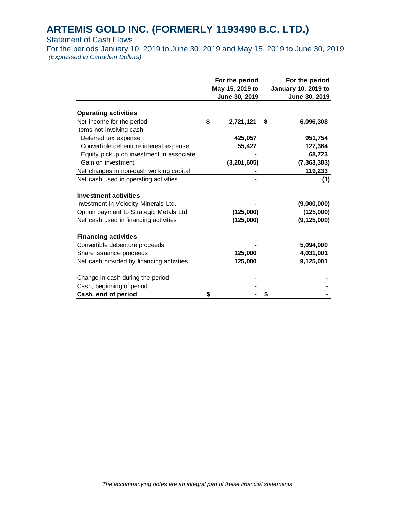## **Statement of Cash Flows**

For the periods January 10, 2019 to June 30, 2019 and May 15, 2019 to June 30, 2019 *(Expressed in Canadian Dollars)*

|                                           | For the period<br>May 15, 2019 to |               |    | For the period<br>January 10, 2019 to |
|-------------------------------------------|-----------------------------------|---------------|----|---------------------------------------|
|                                           |                                   | June 30, 2019 |    | June 30, 2019                         |
|                                           |                                   |               |    |                                       |
| <b>Operating activities</b>               |                                   |               |    |                                       |
| Net income for the period                 | \$                                | 2,721,121     | \$ | 6,096,308                             |
| Items not involving cash:                 |                                   |               |    |                                       |
| Deferred tax expense                      |                                   | 425,057       |    | 951,754                               |
| Convertible debenture interest expense    |                                   | 55,427        |    | 127,364                               |
| Equity pickup on investment in associate  |                                   |               |    | 68,723                                |
| Gain on investment                        |                                   | (3, 201, 605) |    | (7, 363, 383)                         |
| Net changes in non-cash working capital   |                                   |               |    | 119,233                               |
| Net cash used in operating activities     |                                   |               |    | (1)                                   |
|                                           |                                   |               |    |                                       |
| <b>Investment activities</b>              |                                   |               |    |                                       |
| Investment in Velocity Minerals Ltd.      |                                   |               |    | (9,000,000)                           |
| Option payment to Strategic Metals Ltd.   |                                   | (125,000)     |    | (125,000)                             |
| Net cash used in financing activities     |                                   | (125,000)     |    | (9, 125, 000)                         |
|                                           |                                   |               |    |                                       |
| <b>Financing activities</b>               |                                   |               |    |                                       |
| Convertible debenture proceeds            |                                   |               |    | 5,094,000                             |
| Share issuance proceeds                   |                                   | 125,000       |    | 4,031,001                             |
| Net cash provided by financing activities |                                   | 125,000       |    | 9,125,001                             |
|                                           |                                   |               |    |                                       |
| Change in cash during the period          |                                   |               |    |                                       |
| Cash, beginning of period                 |                                   |               |    |                                       |
| Cash, end of period                       | \$                                |               | \$ |                                       |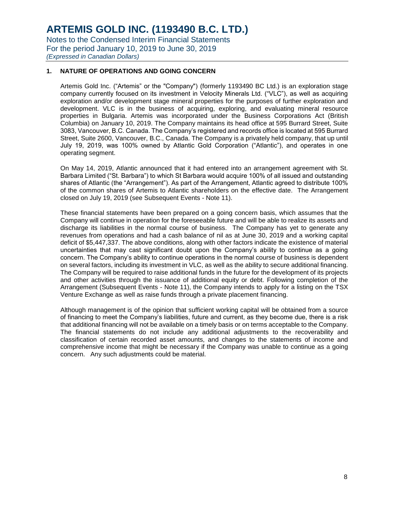## **1. NATURE OF OPERATIONS AND GOING CONCERN**

Artemis Gold Inc. ("Artemis" or the "Company") (formerly 1193490 BC Ltd.) is an exploration stage company currently focused on its investment in Velocity Minerals Ltd. ("VLC"), as well as acquiring exploration and/or development stage mineral properties for the purposes of further exploration and development. VLC is in the business of acquiring, exploring, and evaluating mineral resource properties in Bulgaria. Artemis was incorporated under the Business Corporations Act (British Columbia) on January 10, 2019. The Company maintains its head office at 595 Burrard Street, Suite 3083, Vancouver, B.C. Canada. The Company's registered and records office is located at 595 Burrard Street, Suite 2600, Vancouver, B.C., Canada. The Company is a privately held company, that up until July 19, 2019, was 100% owned by Atlantic Gold Corporation ("Atlantic"), and operates in one operating segment.

On May 14, 2019, Atlantic announced that it had entered into an arrangement agreement with St. Barbara Limited ("St. Barbara") to which St Barbara would acquire 100% of all issued and outstanding shares of Atlantic (the "Arrangement"). As part of the Arrangement, Atlantic agreed to distribute 100% of the common shares of Artemis to Atlantic shareholders on the effective date. The Arrangement closed on July 19, 2019 (see Subsequent Events - Note 11).

These financial statements have been prepared on a going concern basis, which assumes that the Company will continue in operation for the foreseeable future and will be able to realize its assets and discharge its liabilities in the normal course of business. The Company has yet to generate any revenues from operations and had a cash balance of nil as at June 30, 2019 and a working capital deficit of \$5,447,337. The above conditions, along with other factors indicate the existence of material uncertainties that may cast significant doubt upon the Company's ability to continue as a going concern. The Company's ability to continue operations in the normal course of business is dependent on several factors, including its investment in VLC, as well as the ability to secure additional financing. The Company will be required to raise additional funds in the future for the development of its projects and other activities through the issuance of additional equity or debt. Following completion of the Arrangement (Subsequent Events - Note 11), the Company intends to apply for a listing on the TSX Venture Exchange as well as raise funds through a private placement financing.

Although management is of the opinion that sufficient working capital will be obtained from a source of financing to meet the Company's liabilities, future and current, as they become due, there is a risk that additional financing will not be available on a timely basis or on terms acceptable to the Company. The financial statements do not include any additional adjustments to the recoverability and classification of certain recorded asset amounts, and changes to the statements of income and comprehensive income that might be necessary if the Company was unable to continue as a going concern. Any such adjustments could be material.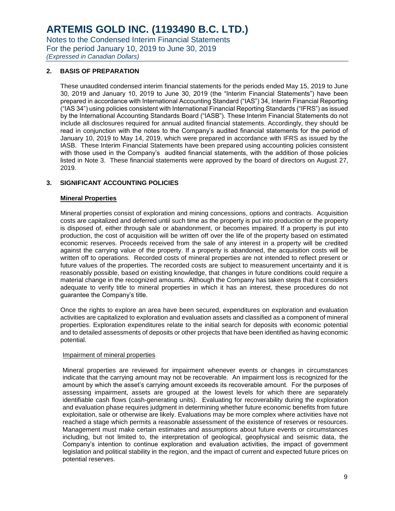## **ARTEMIS GOLD INC. (1193490 B.C. LTD.)**

Notes to the Condensed Interim Financial Statements For the period January 10, 2019 to June 30, 2019

*(Expressed in Canadian Dollars)*

## **2. BASIS OF PREPARATION**

These unaudited condensed interim financial statements for the periods ended May 15, 2019 to June 30, 2019 and January 10, 2019 to June 30, 2019 (the "Interim Financial Statements") have been prepared in accordance with International Accounting Standard ("IAS") 34, Interim Financial Reporting ("IAS 34") using policies consistent with International Financial Reporting Standards ("IFRS") as issued by the International Accounting Standards Board ("IASB"). These Interim Financial Statements do not include all disclosures required for annual audited financial statements. Accordingly, they should be read in conjunction with the notes to the Company's audited financial statements for the period of January 10, 2019 to May 14, 2019, which were prepared in accordance with IFRS as issued by the IASB. These Interim Financial Statements have been prepared using accounting policies consistent with those used in the Company's audited financial statements, with the addition of those policies listed in Note 3. These financial statements were approved by the board of directors on August 27, 2019.

## **3. SIGNIFICANT ACCOUNTING POLICIES**

#### **Mineral Properties**

Mineral properties consist of exploration and mining concessions, options and contracts. Acquisition costs are capitalized and deferred until such time as the property is put into production or the property is disposed of, either through sale or abandonment, or becomes impaired. If a property is put into production, the cost of acquisition will be written off over the life of the property based on estimated economic reserves. Proceeds received from the sale of any interest in a property will be credited against the carrying value of the property. If a property is abandoned, the acquisition costs will be written off to operations. Recorded costs of mineral properties are not intended to reflect present or future values of the properties. The recorded costs are subject to measurement uncertainty and it is reasonably possible, based on existing knowledge, that changes in future conditions could require a material change in the recognized amounts. Although the Company has taken steps that it considers adequate to verify title to mineral properties in which it has an interest, these procedures do not guarantee the Company's title.

Once the rights to explore an area have been secured, expenditures on exploration and evaluation activities are capitalized to exploration and evaluation assets and classified as a component of mineral properties. Exploration expenditures relate to the initial search for deposits with economic potential and to detailed assessments of deposits or other projects that have been identified as having economic potential.

#### Impairment of mineral properties

Mineral properties are reviewed for impairment whenever events or changes in circumstances indicate that the carrying amount may not be recoverable. An impairment loss is recognized for the amount by which the asset's carrying amount exceeds its recoverable amount. For the purposes of assessing impairment, assets are grouped at the lowest levels for which there are separately identifiable cash flows (cash-generating units). Evaluating for recoverability during the exploration and evaluation phase requires judgment in determining whether future economic benefits from future exploitation, sale or otherwise are likely. Evaluations may be more complex where activities have not reached a stage which permits a reasonable assessment of the existence of reserves or resources. Management must make certain estimates and assumptions about future events or circumstances including, but not limited to, the interpretation of geological, geophysical and seismic data, the Company's intention to continue exploration and evaluation activities, the impact of government legislation and political stability in the region, and the impact of current and expected future prices on potential reserves.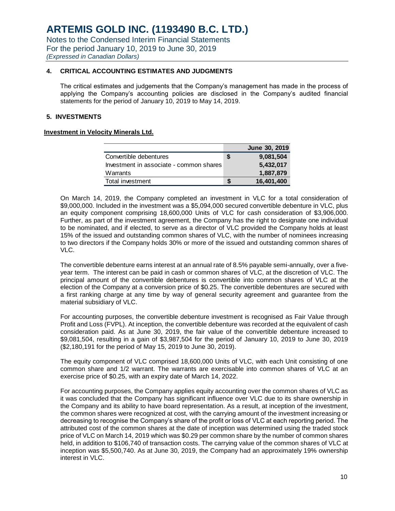## **4. CRITICAL ACCOUNTING ESTIMATES AND JUDGMENTS**

The critical estimates and judgements that the Company's management has made in the process of applying the Company's accounting policies are disclosed in the Company's audited financial statements for the period of January 10, 2019 to May 14, 2019.

## **5. INVESTMENTS**

### **Investment in Velocity Minerals Ltd.**

|                                         | June 30, 2019 |
|-----------------------------------------|---------------|
| Convertible debentures                  | 9,081,504     |
| Investment in associate - common shares | 5,432,017     |
| Warrants                                | 1,887,879     |
| Total investment                        | 16,401,400    |

On March 14, 2019, the Company completed an investment in VLC for a total consideration of \$9,000,000. Included in the investment was a \$5,094,000 secured convertible debenture in VLC, plus an equity component comprising 18,600,000 Units of VLC for cash consideration of \$3,906,000. Further, as part of the investment agreement, the Company has the right to designate one individual to be nominated, and if elected, to serve as a director of VLC provided the Company holds at least 15% of the issued and outstanding common shares of VLC, with the number of nominees increasing to two directors if the Company holds 30% or more of the issued and outstanding common shares of VLC.

The convertible debenture earns interest at an annual rate of 8.5% payable semi-annually, over a fiveyear term. The interest can be paid in cash or common shares of VLC, at the discretion of VLC. The principal amount of the convertible debentures is convertible into common shares of VLC at the election of the Company at a conversion price of \$0.25. The convertible debentures are secured with a first ranking charge at any time by way of general security agreement and guarantee from the material subsidiary of VLC.

For accounting purposes, the convertible debenture investment is recognised as Fair Value through Profit and Loss (FVPL). At inception, the convertible debenture was recorded at the equivalent of cash consideration paid. As at June 30, 2019, the fair value of the convertible debenture increased to \$9,081,504, resulting in a gain of \$3,987,504 for the period of January 10, 2019 to June 30, 2019 (\$2,180,191 for the period of May 15, 2019 to June 30, 2019).

The equity component of VLC comprised 18,600,000 Units of VLC, with each Unit consisting of one common share and 1/2 warrant. The warrants are exercisable into common shares of VLC at an exercise price of \$0.25, with an expiry date of March 14, 2022.

For accounting purposes, the Company applies equity accounting over the common shares of VLC as it was concluded that the Company has significant influence over VLC due to its share ownership in the Company and its ability to have board representation. As a result, at inception of the investment, the common shares were recognized at cost, with the carrying amount of the investment increasing or decreasing to recognise the Company's share of the profit or loss of VLC at each reporting period. The attributed cost of the common shares at the date of inception was determined using the traded stock price of VLC on March 14, 2019 which was \$0.29 per common share by the number of common shares held, in addition to \$106,740 of transaction costs. The carrying value of the common shares of VLC at inception was \$5,500,740. As at June 30, 2019, the Company had an approximately 19% ownership interest in VLC.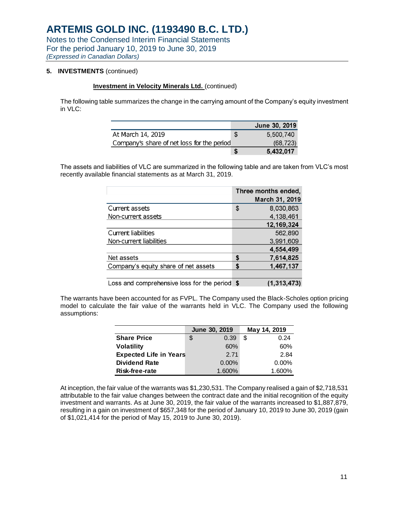## **5. INVESTMENTS** (continued)

#### **Investment in Velocity Minerals Ltd.** (continued)

The following table summarizes the change in the carrying amount of the Company's equity investment in VLC:

|                                            |   | June 30, 2019 |
|--------------------------------------------|---|---------------|
| At March 14, 2019                          | S | 5.500.740     |
| Company's share of net loss for the period |   | (68, 723)     |
|                                            | Ъ | 5.432,017     |

The assets and liabilities of VLC are summarized in the following table and are taken from VLC's most recently available financial statements as at March 31, 2019.

|                                               | Three months ended, |                |  |  |
|-----------------------------------------------|---------------------|----------------|--|--|
|                                               |                     | March 31, 2019 |  |  |
| Current assets                                | \$                  | 8,030,863      |  |  |
| Non-current assets                            |                     | 4,138,461      |  |  |
|                                               |                     | 12,169,324     |  |  |
| Current liabilities                           |                     | 562,890        |  |  |
| Non-current liabilities                       |                     | 3,991,609      |  |  |
|                                               |                     | 4,554,499      |  |  |
| Net assets                                    | \$                  | 7,614,825      |  |  |
| Company's equity share of net assets          | \$                  | 1,467,137      |  |  |
|                                               |                     |                |  |  |
| Loss and comprehensive loss for the period \$ |                     | (1,313,473)    |  |  |

The warrants have been accounted for as FVPL. The Company used the Black-Scholes option pricing model to calculate the fair value of the warrants held in VLC. The Company used the following assumptions:

|                               | June 30, 2019 |        |     | May 14, 2019 |  |
|-------------------------------|---------------|--------|-----|--------------|--|
| <b>Share Price</b>            | \$            | 0.39   | S   | 0.24         |  |
| <b>Volatility</b>             |               | 60%    | 60% |              |  |
| <b>Expected Life in Years</b> |               | 2.71   |     | 2.84         |  |
| <b>Dividend Rate</b>          |               | 0.00%  |     | $0.00\%$     |  |
| <b>Risk-free-rate</b>         |               | 1.600% |     | 1.600%       |  |

At inception, the fair value of the warrants was \$1,230,531. The Company realised a gain of \$2,718,531 attributable to the fair value changes between the contract date and the initial recognition of the equity investment and warrants. As at June 30, 2019, the fair value of the warrants increased to \$1,887,879, resulting in a gain on investment of \$657,348 for the period of January 10, 2019 to June 30, 2019 (gain of \$1,021,414 for the period of May 15, 2019 to June 30, 2019).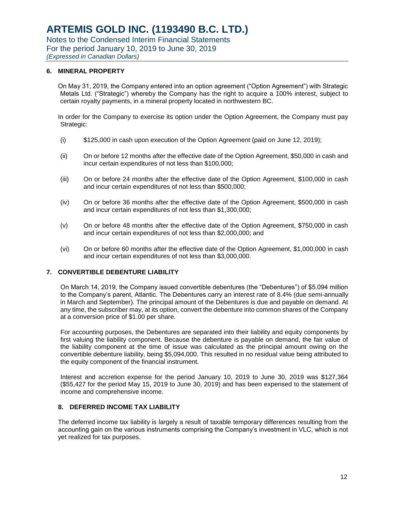### **6. MINERAL PROPERTY**

On May 31, 2019, the Company entered into an option agreement ("Option Agreement") with Strategic Metals Ltd. ("Strategic") whereby the Company has the right to acquire a 100% interest, subject to certain royalty payments, in a mineral property located in northwestern BC.

In order for the Company to exercise its option under the Option Agreement, the Company must pay Strategic:

- $(i)$  \$125,000 in cash upon execution of the Option Agreement (paid on June 12, 2019);
- (ii) On or before 12 months after the effective date of the Option Agreement, \$50,000 in cash and incur certain expenditures of not less than \$100,000;
- (iii) On or before 24 months after the effective date of the Option Agreement, \$100,000 in cash and incur certain expenditures of not less than \$500,000;
- (iv) On or before 36 months after the effective date of the Option Agreement, \$500,000 in cash and incur certain expenditures of not less than \$1,300,000;
- (v) On or before 48 months after the effective date of the Option Agreement, \$750,000 in cash and incur certain expenditures of not less than \$2,000,000; and
- (vi) On or before 60 months after the effective date of the Option Agreement, \$1,000,000 in cash and incur certain expenditures of not less than \$3,000,000.

## **7. CONVERTIBLE DEBENTURE LIABILITY**

On March 14, 2019, the Company issued convertible debentures (the "Debentures") of \$5.094 million to the Company's parent, Atlantic. The Debentures carry an interest rate of 8.4% (due semi-annually in March and September). The principal amount of the Debentures is due and payable on demand. At any time, the subscriber may, at its option, convert the debenture into common shares of the Company at a conversion price of \$1.00 per share.

For accounting purposes, the Debentures are separated into their liability and equity components by first valuing the liability component. Because the debenture is payable on demand, the fair value of the liability component at the time of issue was calculated as the principal amount owing on the convertible debenture liability, being \$5,094,000. This resulted in no residual value being attributed to the equity component of the financial instrument.

Interest and accretion expense for the period January 10, 2019 to June 30, 2019 was \$127,364 (\$55,427 for the period May 15, 2019 to June 30, 2019) and has been expensed to the statement of income and comprehensive income.

#### **8. DEFERRED INCOME TAX LIABILITY**

The deferred income tax liability is largely a result of taxable temporary differences resulting from the accounting gain on the various instruments comprising the Company's investment in VLC, which is not yet realized for tax purposes.